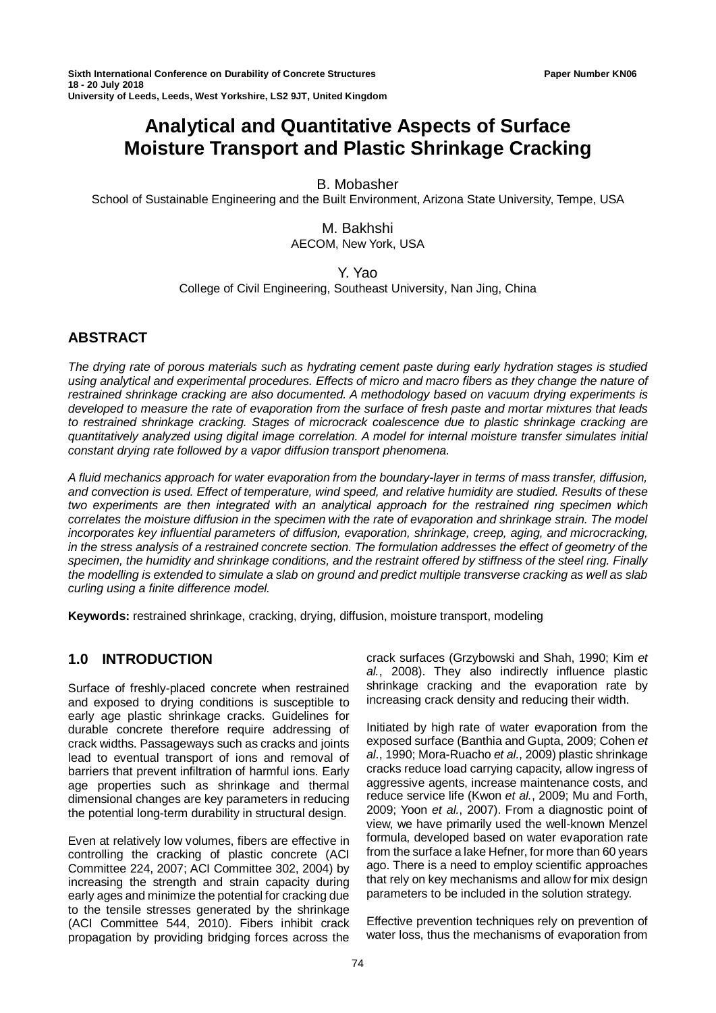# **Analytical and Quantitative Aspects of Surface Moisture Transport and Plastic Shrinkage Cracking**

### B. Mobasher

School of Sustainable Engineering and the Built Environment, Arizona State University, Tempe, USA

#### M. Bakhshi AECOM, New York, USA

Y. Yao College of Civil Engineering, Southeast University, Nan Jing, China

# **ABSTRACT**

*The drying rate of porous materials such as hydrating cement paste during early hydration stages is studied using analytical and experimental procedures. Effects of micro and macro fibers as they change the nature of restrained shrinkage cracking are also documented. A methodology based on vacuum drying experiments is developed to measure the rate of evaporation from the surface of fresh paste and mortar mixtures that leads to restrained shrinkage cracking. Stages of microcrack coalescence due to plastic shrinkage cracking are quantitatively analyzed using digital image correlation. A model for internal moisture transfer simulates initial constant drying rate followed by a vapor diffusion transport phenomena.* 

*A fluid mechanics approach for water evaporation from the boundary-layer in terms of mass transfer, diffusion, and convection is used. Effect of temperature, wind speed, and relative humidity are studied. Results of these two experiments are then integrated with an analytical approach for the restrained ring specimen which correlates the moisture diffusion in the specimen with the rate of evaporation and shrinkage strain. The model incorporates key influential parameters of diffusion, evaporation, shrinkage, creep, aging, and microcracking, in the stress analysis of a restrained concrete section. The formulation addresses the effect of geometry of the specimen, the humidity and shrinkage conditions, and the restraint offered by stiffness of the steel ring. Finally the modelling is extended to simulate a slab on ground and predict multiple transverse cracking as well as slab curling using a finite difference model.*

**Keywords:** restrained shrinkage, cracking, drying, diffusion, moisture transport, modeling

## **1.0 INTRODUCTION**

Surface of freshly-placed concrete when restrained and exposed to drying conditions is susceptible to early age plastic shrinkage cracks. Guidelines for durable concrete therefore require addressing of crack widths. Passageways such as cracks and joints lead to eventual transport of ions and removal of barriers that prevent infiltration of harmful ions. Early age properties such as shrinkage and thermal dimensional changes are key parameters in reducing the potential long-term durability in structural design.

Even at relatively low volumes, fibers are effective in controlling the cracking of plastic concrete (ACI Committee 224, 2007; ACI Committee 302, 2004) by increasing the strength and strain capacity during early ages and minimize the potential for cracking due to the tensile stresses generated by the shrinkage (ACI Committee 544, 2010). Fibers inhibit crack propagation by providing bridging forces across the crack surfaces (Grzybowski and Shah, 1990; Kim *et al.*, 2008). They also indirectly influence plastic shrinkage cracking and the evaporation rate by increasing crack density and reducing their width.

Initiated by high rate of water evaporation from the exposed surface (Banthia and Gupta, 2009; Cohen *et al*., 1990; Mora-Ruacho *et al.*, 2009) plastic shrinkage cracks reduce load carrying capacity, allow ingress of aggressive agents, increase maintenance costs, and reduce service life (Kwon *et al.*, 2009; Mu and Forth, 2009; Yoon *et al.*, 2007). From a diagnostic point of view, we have primarily used the well-known Menzel formula, developed based on water evaporation rate from the surface a lake Hefner, for more than 60 years ago. There is a need to employ scientific approaches that rely on key mechanisms and allow for mix design parameters to be included in the solution strategy.

Effective prevention techniques rely on prevention of water loss, thus the mechanisms of evaporation from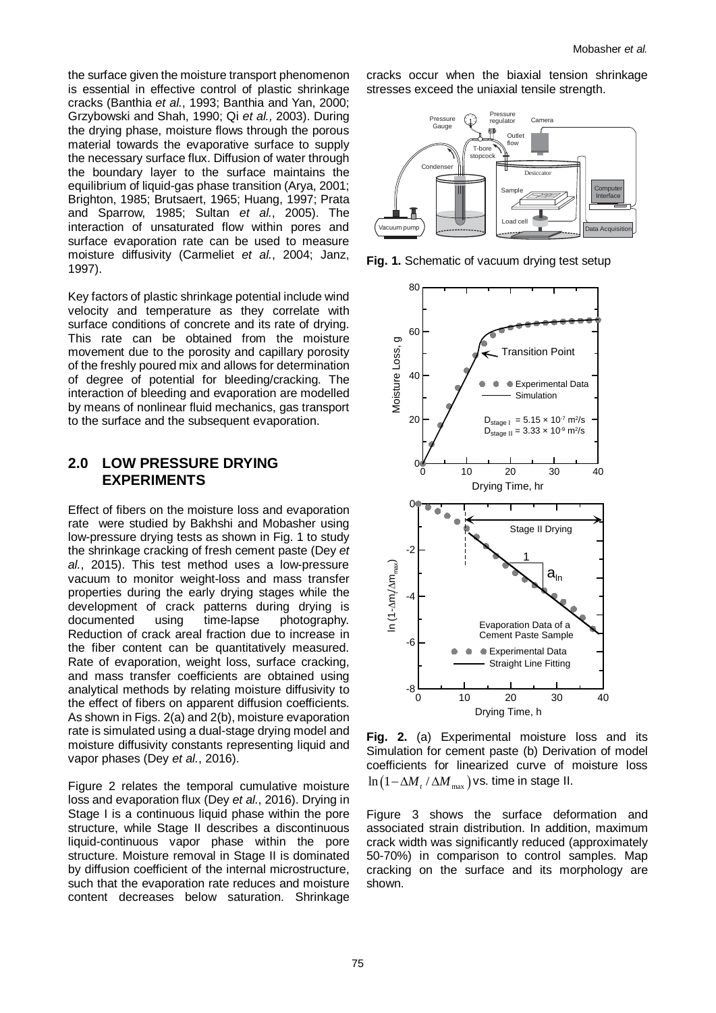the surface given the moisture transport phenomenon is essential in effective control of plastic shrinkage cracks (Banthia *et al.*, 1993; Banthia and Yan, 2000; Grzybowski and Shah, 1990; Qi *et al.,* 2003). During the drying phase, moisture flows through the porous material towards the evaporative surface to supply the necessary surface flux. Diffusion of water through the boundary layer to the surface maintains the equilibrium of liquid-gas phase transition (Arya, 2001; Brighton, 1985; Brutsaert, 1965; Huang, 1997; Prata and Sparrow, 1985; Sultan *et al.*, 2005). The interaction of unsaturated flow within pores and surface evaporation rate can be used to measure moisture diffusivity (Carmeliet *et al.*, 2004; Janz, 1997).

Key factors of plastic shrinkage potential include wind velocity and temperature as they correlate with surface conditions of concrete and its rate of drying. This rate can be obtained from the moisture movement due to the porosity and capillary porosity of the freshly poured mix and allows for determination of degree of potential for bleeding/cracking. The interaction of bleeding and evaporation are modelled by means of nonlinear fluid mechanics, gas transport to the surface and the subsequent evaporation.

### **2.0 LOW PRESSURE DRYING EXPERIMENTS**

Effect of fibers on the moisture loss and evaporation rate were studied by Bakhshi and Mobasher using low-pressure drying tests as shown in Fig. 1 to study the shrinkage cracking of fresh cement paste (Dey *et al.*, 2015). This test method uses a low-pressure vacuum to monitor weight-loss and mass transfer properties during the early drying stages while the development of crack patterns during drying is documented using time-lapse photography. Reduction of crack areal fraction due to increase in the fiber content can be quantitatively measured. Rate of evaporation, weight loss, surface cracking, and mass transfer coefficients are obtained using analytical methods by relating moisture diffusivity to the effect of fibers on apparent diffusion coefficients. As shown in Figs. 2(a) and 2(b), moisture evaporation rate is simulated using a dual-stage drying model and moisture diffusivity constants representing liquid and vapor phases (Dey *et al.*, 2016).

Figure 2 relates the temporal cumulative moisture loss and evaporation flux (Dey *et al.*, 2016). Drying in Stage I is a continuous liquid phase within the pore structure, while Stage II describes a discontinuous liquid-continuous vapor phase within the pore structure. Moisture removal in Stage II is dominated by diffusion coefficient of the internal microstructure, such that the evaporation rate reduces and moisture content decreases below saturation. Shrinkage

cracks occur when the biaxial tension shrinkage stresses exceed the uniaxial tensile strength.



**Fig. 1.** Schematic of vacuum drying test setup



**Fig. 2.** (a) Experimental moisture loss and its Simulation for cement paste (b) Derivation of model coefficients for linearized curve of moisture loss  $\ln (1 - \Delta M / \Delta M_{\text{max}})$  vs. time in stage II.

Figure 3 shows the surface deformation and associated strain distribution. In addition, maximum crack width was significantly reduced (approximately 50-70%) in comparison to control samples. Map cracking on the surface and its morphology are shown.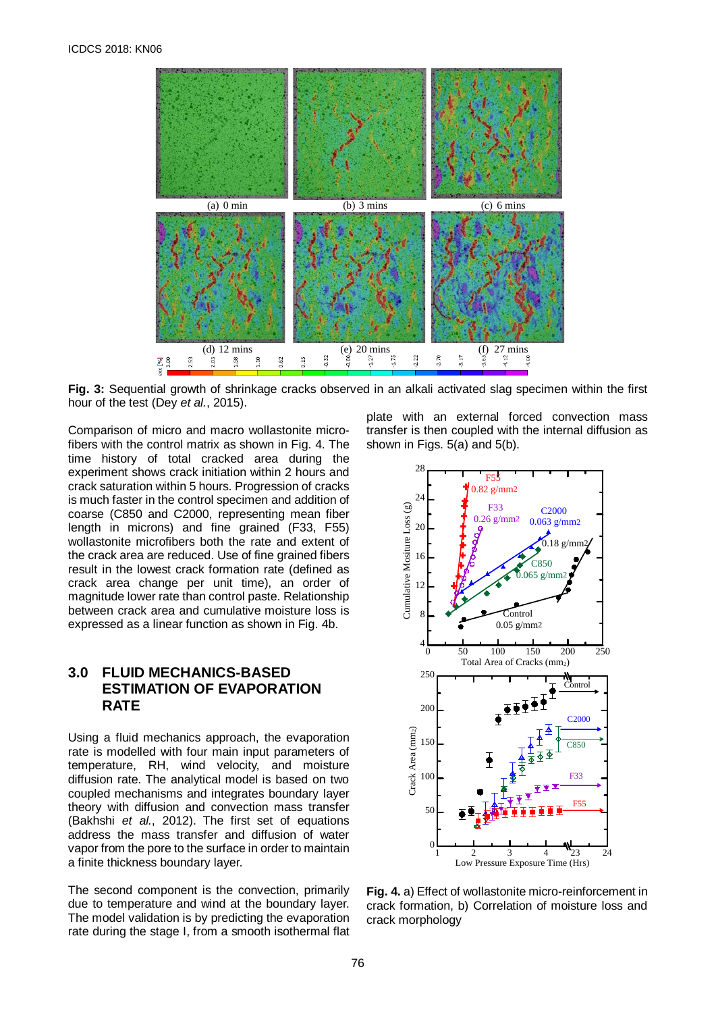

**Fig. 3:** Sequential growth of shrinkage cracks observed in an alkali activated slag specimen within the first hour of the test (Dey *et al.*, 2015).

Comparison of micro and macro wollastonite microfibers with the control matrix as shown in Fig. 4. The time history of total cracked area during the experiment shows crack initiation within 2 hours and crack saturation within 5 hours. Progression of cracks is much faster in the control specimen and addition of coarse (C850 and C2000, representing mean fiber length in microns) and fine grained (F33, F55) wollastonite microfibers both the rate and extent of the crack area are reduced. Use of fine grained fibers result in the lowest crack formation rate (defined as crack area change per unit time), an order of magnitude lower rate than control paste. Relationship between crack area and cumulative moisture loss is expressed as a linear function as shown in Fig. 4b.

# **3.0 FLUID MECHANICS-BASED ESTIMATION OF EVAPORATION RATE**

Using a fluid mechanics approach, the evaporation rate is modelled with four main input parameters of temperature, RH, wind velocity, and moisture diffusion rate. The analytical model is based on two coupled mechanisms and integrates boundary layer theory with diffusion and convection mass transfer (Bakhshi *et al.*, 2012). The first set of equations address the mass transfer and diffusion of water vapor from the pore to the surface in order to maintain a finite thickness boundary layer.

The second component is the convection, primarily due to temperature and wind at the boundary layer. The model validation is by predicting the evaporation rate during the stage I, from a smooth isothermal flat

plate with an external forced convection mass transfer is then coupled with the internal diffusion as shown in Figs. 5(a) and 5(b).



**Fig. 4.** a) Effect of wollastonite micro-reinforcement in crack formation, b) Correlation of moisture loss and crack morphology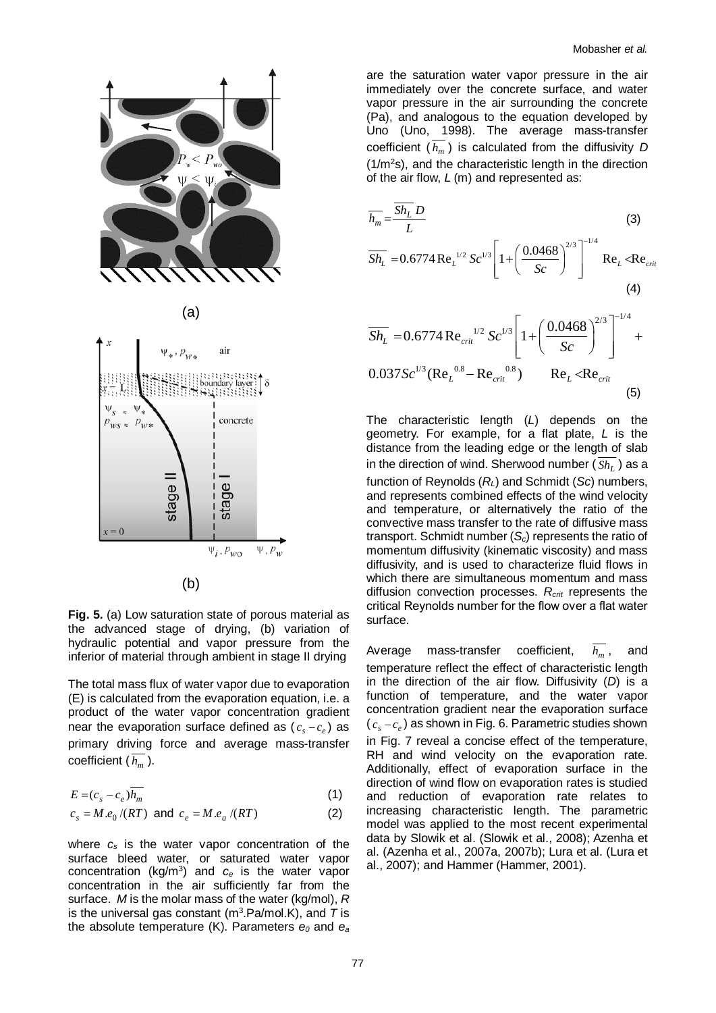

**Fig. 5.** (a) Low saturation state of porous material as the advanced stage of drying, (b) variation of hydraulic potential and vapor pressure from the inferior of material through ambient in stage II drying

The total mass flux of water vapor due to evaporation (E) is calculated from the evaporation equation, i.e. a product of the water vapor concentration gradient near the evaporation surface defined as  $(c_s - c_e)$  as primary driving force and average mass-transfer coefficient  $(\overline{h_m})$ .

$$
E = (c_s - c_e) \overline{h_m} \tag{1}
$$

$$
c_s = M.e_0 / (RT) \text{ and } c_e = M.e_a / (RT)
$$
 (2)

where *cs* is the water vapor concentration of the surface bleed water, or saturated water vapor concentration (kg/m3) and *ce* is the water vapor concentration in the air sufficiently far from the surface. *M* is the molar mass of the water (kg/mol), *R* is the universal gas constant (m<sup>3</sup>.Pa/mol.K), and T is the absolute temperature (K). Parameters  $e_0$  and  $e_a$ 

are the saturation water vapor pressure in the air immediately over the concrete surface, and water vapor pressure in the air surrounding the concrete (Pa), and analogous to the equation developed by Uno (Uno, 1998). The average mass-transfer coefficient  $(h_m)$  is calculated from the diffusivity D  $(1/m<sup>2</sup>s)$ , and the characteristic length in the direction of the air flow, *L* (m) and represented as:

$$
\overline{h_m} = \frac{\overline{Sh_L} D}{L}
$$
\n(3)  
\n
$$
\overline{Sh_L} = 0.6774 \text{ Re}_L^{1/2} Sc^{1/3} \left[ 1 + \left( \frac{0.0468}{Sc} \right)^{2/3} \right]^{-1/4} \text{ Re}_L < \text{Re}_{crit}
$$

$$
\left( 4\right)
$$

$$
\overline{Sh}_{L} = 0.6774 \operatorname{Re}_{crit}^{1/2} Sc^{1/3} \left[ 1 + \left( \frac{0.0468}{Sc} \right)^{2/3} \right]^{-1/4} + 0.037 Sc^{1/3} (\operatorname{Re}_{L}^{0.8} - \operatorname{Re}_{crit}^{0.8}) \qquad \operatorname{Re}_{L} < \operatorname{Re}_{crit}
$$
\n(5)

The characteristic length (*L*) depends on the geometry. For example, for a flat plate, *L* is the distance from the leading edge or the length of slab in the direction of wind. Sherwood number (Sh<sub>L</sub>) as a function of Reynolds (*RL*) and Schmidt (*Sc*) numbers, and represents combined effects of the wind velocity and temperature, or alternatively the ratio of the convective mass transfer to the rate of diffusive mass transport. Schmidt number (*Sc*) represents the ratio of momentum diffusivity (kinematic viscosity) and mass diffusivity, and is used to characterize fluid flows in which there are simultaneous momentum and mass diffusion convection processes. *Rcrit* represents the critical Reynolds number for the flow over a flat water surface.

Average mass-transfer coefficient,  $h_m$ , and temperature reflect the effect of characteristic length in the direction of the air flow. Diffusivity (*D*) is a function of temperature, and the water vapor concentration gradient near the evaporation surface ( *<sup>s</sup> <sup>e</sup> c* − *c* ) as shown in Fig. 6. Parametric studies shown in Fig. 7 reveal a concise effect of the temperature, RH and wind velocity on the evaporation rate. Additionally, effect of evaporation surface in the direction of wind flow on evaporation rates is studied and reduction of evaporation rate relates to increasing characteristic length. The parametric model was applied to the most recent experimental data by Slowik et al. (Slowik et al., 2008); Azenha et al. (Azenha et al., 2007a, 2007b); Lura et al. (Lura et al., 2007); and Hammer (Hammer, 2001).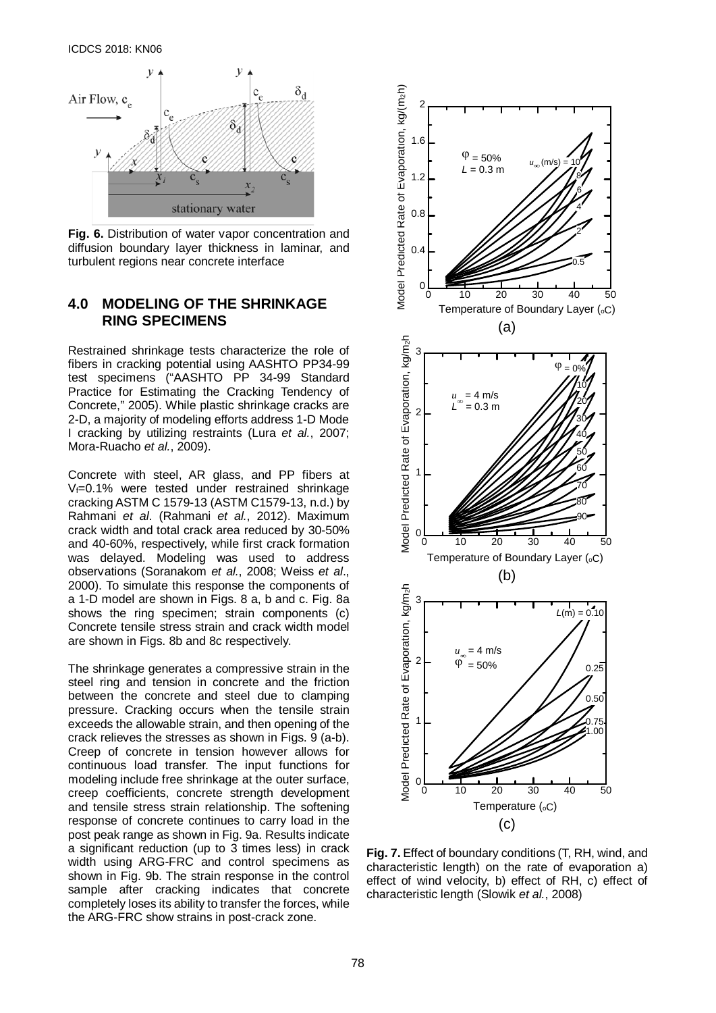

**Fig. 6.** Distribution of water vapor concentration and diffusion boundary layer thickness in laminar, and turbulent regions near concrete interface

## **4.0 MODELING OF THE SHRINKAGE RING SPECIMENS**

Restrained shrinkage tests characterize the role of fibers in cracking potential using AASHTO PP34-99 test specimens ("AASHTO PP 34-99 Standard Practice for Estimating the Cracking Tendency of Concrete," 2005). While plastic shrinkage cracks are 2-D, a majority of modeling efforts address 1-D Mode I cracking by utilizing restraints (Lura *et al.*, 2007; Mora-Ruacho *et al.*, 2009).

Concrete with steel, AR glass, and PP fibers at Vf=0.1% were tested under restrained shrinkage cracking ASTM C 1579-13 (ASTM C1579-13, n.d.) by Rahmani *et al*. (Rahmani *et al.*, 2012). Maximum crack width and total crack area reduced by 30-50% and 40-60%, respectively, while first crack formation was delayed. Modeling was used to address observations (Soranakom *et al.*, 2008; Weiss *et al*., 2000). To simulate this response the components of a 1-D model are shown in Figs. 8 a, b and c. Fig. 8a shows the ring specimen; strain components (c) Concrete tensile stress strain and crack width model are shown in Figs. 8b and 8c respectively.

The shrinkage generates a compressive strain in the steel ring and tension in concrete and the friction between the concrete and steel due to clamping pressure. Cracking occurs when the tensile strain exceeds the allowable strain, and then opening of the crack relieves the stresses as shown in Figs. 9 (a-b). Creep of concrete in tension however allows for continuous load transfer. The input functions for modeling include free shrinkage at the outer surface, creep coefficients, concrete strength development and tensile stress strain relationship. The softening response of concrete continues to carry load in the post peak range as shown in Fig. 9a. Results indicate a significant reduction (up to 3 times less) in crack width using ARG-FRC and control specimens as shown in Fig. 9b. The strain response in the control sample after cracking indicates that concrete completely loses its ability to transfer the forces, while the ARG-FRC show strains in post-crack zone.



**Fig. 7.** Effect of boundary conditions (T, RH, wind, and characteristic length) on the rate of evaporation a) effect of wind velocity, b) effect of RH, c) effect of characteristic length (Slowik *et al.*, 2008)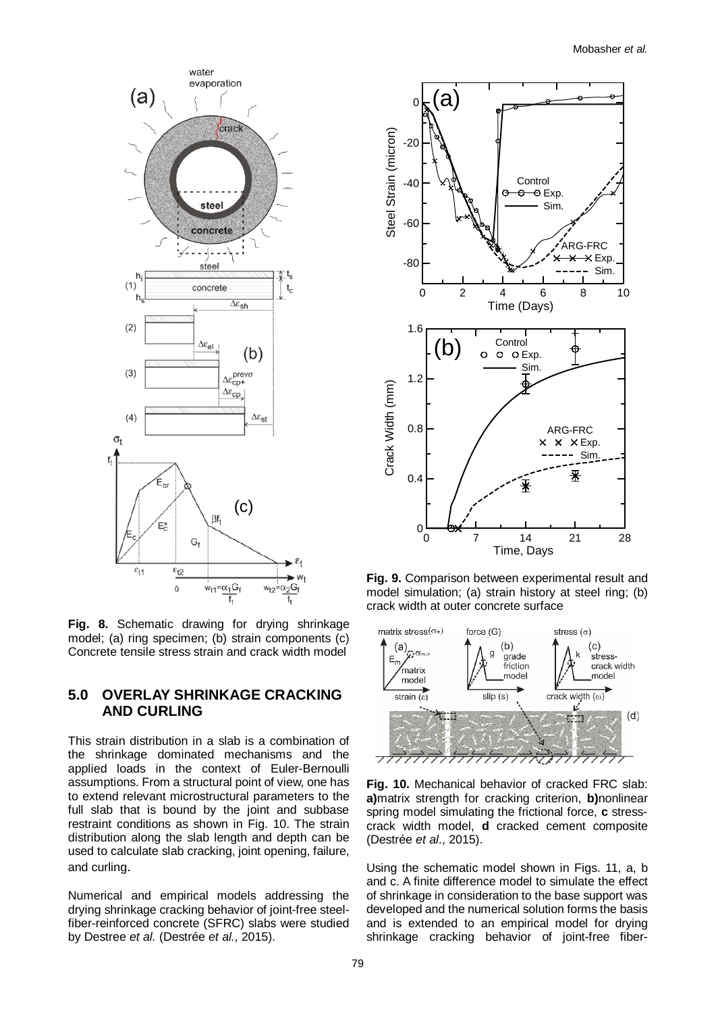

**Fig. 8.** Schematic drawing for drying shrinkage model; (a) ring specimen; (b) strain components (c) Concrete tensile stress strain and crack width model

# **5.0 OVERLAY SHRINKAGE CRACKING AND CURLING**

This strain distribution in a slab is a combination of the shrinkage dominated mechanisms and the applied loads in the context of Euler-Bernoulli assumptions. From a structural point of view, one has to extend relevant microstructural parameters to the full slab that is bound by the joint and subbase restraint conditions as shown in Fig. 10. The strain distribution along the slab length and depth can be used to calculate slab cracking, joint opening, failure, and curling.

Numerical and empirical models addressing the drying shrinkage cracking behavior of joint-free steelfiber-reinforced concrete (SFRC) slabs were studied by Destree *et al.* (Destrée *et al.*, 2015).



**Fig. 9.** Comparison between experimental result and model simulation; (a) strain history at steel ring; (b) crack width at outer concrete surface



**Fig. 10.** Mechanical behavior of cracked FRC slab: **a)**matrix strength for cracking criterion, **b)**nonlinear spring model simulating the frictional force, **c** stresscrack width model, **d** cracked cement composite (Destrée *et al*., 2015).

Using the schematic model shown in Figs. 11, a, b and c. A finite difference model to simulate the effect of shrinkage in consideration to the base support was developed and the numerical solution forms the basis and is extended to an empirical model for drying shrinkage cracking behavior of joint-free fiber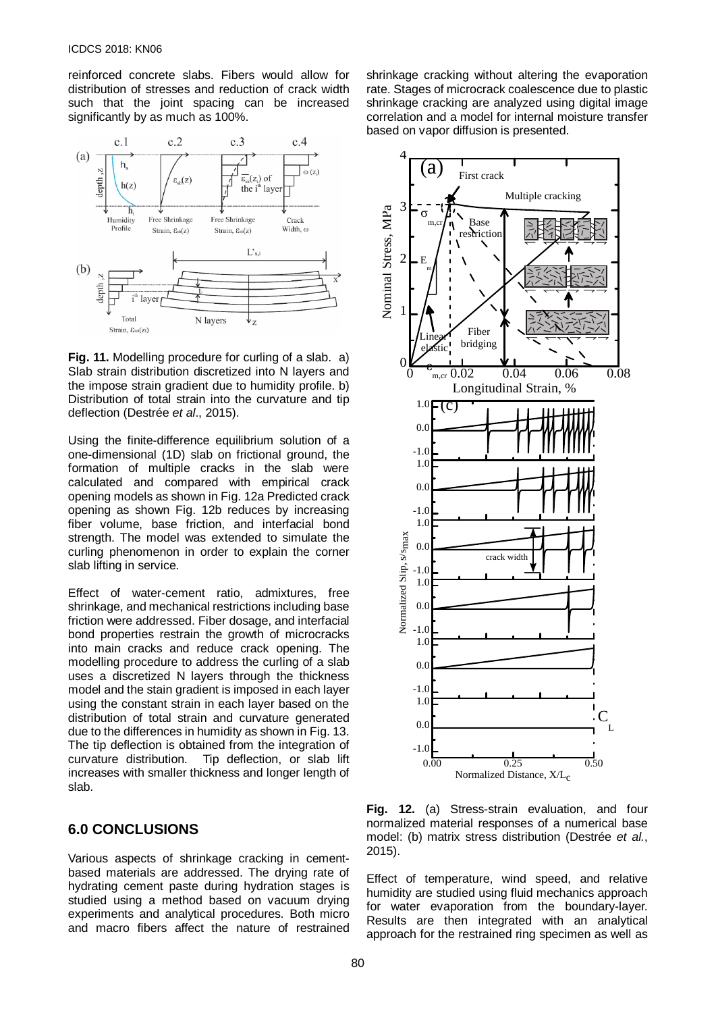reinforced concrete slabs. Fibers would allow for distribution of stresses and reduction of crack width such that the joint spacing can be increased significantly by as much as 100%.



**Fig. 11.** Modelling procedure for curling of a slab. a) Slab strain distribution discretized into N layers and the impose strain gradient due to humidity profile. b) Distribution of total strain into the curvature and tip deflection (Destrée *et al*., 2015).

Using the finite-difference equilibrium solution of a one-dimensional (1D) slab on frictional ground, the formation of multiple cracks in the slab were calculated and compared with empirical crack opening models as shown in Fig. 12a Predicted crack opening as shown Fig. 12b reduces by increasing fiber volume, base friction, and interfacial bond strength. The model was extended to simulate the curling phenomenon in order to explain the corner slab lifting in service.

Effect of water-cement ratio, admixtures, free shrinkage, and mechanical restrictions including base friction were addressed. Fiber dosage, and interfacial bond properties restrain the growth of microcracks into main cracks and reduce crack opening. The modelling procedure to address the curling of a slab uses a discretized N layers through the thickness model and the stain gradient is imposed in each layer using the constant strain in each layer based on the distribution of total strain and curvature generated due to the differences in humidity as shown in Fig. 13. The tip deflection is obtained from the integration of curvature distribution. Tip deflection, or slab lift increases with smaller thickness and longer length of slab.

#### **6.0 CONCLUSIONS**

Various aspects of shrinkage cracking in cementbased materials are addressed. The drying rate of hydrating cement paste during hydration stages is studied using a method based on vacuum drying experiments and analytical procedures. Both micro and macro fibers affect the nature of restrained

shrinkage cracking without altering the evaporation rate. Stages of microcrack coalescence due to plastic shrinkage cracking are analyzed using digital image correlation and a model for internal moisture transfer based on vapor diffusion is presented.



**Fig. 12.** (a) Stress-strain evaluation, and four normalized material responses of a numerical base model: (b) matrix stress distribution (Destrée *et al.*, 2015).

Effect of temperature, wind speed, and relative humidity are studied using fluid mechanics approach for water evaporation from the boundary-layer. Results are then integrated with an analytical approach for the restrained ring specimen as well as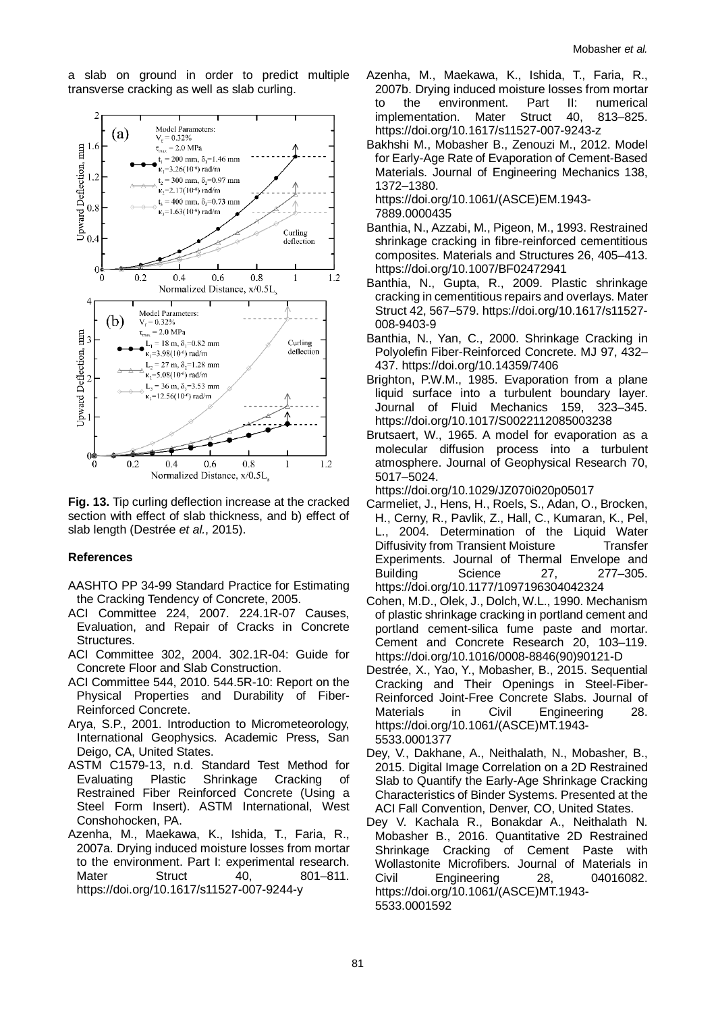a slab on ground in order to predict multiple transverse cracking as well as slab curling.



**Fig. 13.** Tip curling deflection increase at the cracked section with effect of slab thickness, and b) effect of slab length (Destrée *et al.*, 2015).

#### **References**

- AASHTO PP 34-99 Standard Practice for Estimating the Cracking Tendency of Concrete, 2005.
- ACI Committee 224, 2007. 224.1R-07 Causes, Evaluation, and Repair of Cracks in Concrete Structures.
- ACI Committee 302, 2004. 302.1R-04: Guide for Concrete Floor and Slab Construction.
- ACI Committee 544, 2010. 544.5R-10: Report on the Physical Properties and Durability of Fiber-Reinforced Concrete.
- Arya, S.P., 2001. Introduction to Micrometeorology, International Geophysics. Academic Press, San Deigo, CA, United States.
- ASTM C1579-13, n.d. Standard Test Method for Evaluating Plastic Shrinkage Cracking of Restrained Fiber Reinforced Concrete (Using a Steel Form Insert). ASTM International, West Conshohocken, PA.
- Azenha, M., Maekawa, K., Ishida, T., Faria, R., 2007a. Drying induced moisture losses from mortar to the environment. Part I: experimental research. Mater Struct 40, 801–811. https://doi.org/10.1617/s11527-007-9244-y
- Azenha, M., Maekawa, K., Ishida, T., Faria, R., 2007b. Drying induced moisture losses from mortar to the environment. Part II: numerical<br>implementation. Mater Struct 40, 813–825. implementation. https://doi.org/10.1617/s11527-007-9243-z
- Bakhshi M., Mobasher B., Zenouzi M., 2012. Model for Early-Age Rate of Evaporation of Cement-Based Materials. Journal of Engineering Mechanics 138, 1372–1380.

https://doi.org/10.1061/(ASCE)EM.1943- 7889.0000435

- Banthia, N., Azzabi, M., Pigeon, M., 1993. Restrained shrinkage cracking in fibre-reinforced cementitious composites. Materials and Structures 26, 405–413. https://doi.org/10.1007/BF02472941
- Banthia, N., Gupta, R., 2009. Plastic shrinkage cracking in cementitious repairs and overlays. Mater Struct 42, 567–579. https://doi.org/10.1617/s11527- 008-9403-9
- Banthia, N., Yan, C., 2000. Shrinkage Cracking in Polyolefin Fiber-Reinforced Concrete. MJ 97, 432– 437. https://doi.org/10.14359/7406
- Brighton, P.W.M., 1985. Evaporation from a plane liquid surface into a turbulent boundary layer. Journal of Fluid Mechanics 159, 323–345. https://doi.org/10.1017/S0022112085003238
- Brutsaert, W., 1965. A model for evaporation as a molecular diffusion process into a turbulent atmosphere. Journal of Geophysical Research 70, 5017–5024.

https://doi.org/10.1029/JZ070i020p05017

- Carmeliet, J., Hens, H., Roels, S., Adan, O., Brocken, H., Cerny, R., Pavlik, Z., Hall, C., Kumaran, K., Pel, L., 2004. Determination of the Liquid Water Diffusivity from Transient Moisture Transfer Experiments. Journal of Thermal Envelope and Building Science 27, 277–305. https://doi.org/10.1177/1097196304042324
- Cohen, M.D., Olek, J., Dolch, W.L., 1990. Mechanism of plastic shrinkage cracking in portland cement and portland cement-silica fume paste and mortar. Cement and Concrete Research 20, 103–119. https://doi.org/10.1016/0008-8846(90)90121-D
- Destrée, X., Yao, Y., Mobasher, B., 2015. Sequential Cracking and Their Openings in Steel-Fiber-Reinforced Joint-Free Concrete Slabs. Journal of Materials in Civil Engineering 28. https://doi.org/10.1061/(ASCE)MT.1943- 5533.0001377
- Dey, V., Dakhane, A., Neithalath, N., Mobasher, B., 2015. Digital Image Correlation on a 2D Restrained Slab to Quantify the Early-Age Shrinkage Cracking Characteristics of Binder Systems. Presented at the ACI Fall Convention, Denver, CO, United States.
- Dey V. Kachala R., Bonakdar A., Neithalath N. Mobasher B., 2016. Quantitative 2D Restrained Shrinkage Cracking of Cement Paste with Wollastonite Microfibers. Journal of Materials in Civil Engineering 28, 04016082. https://doi.org/10.1061/(ASCE)MT.1943- 5533.0001592